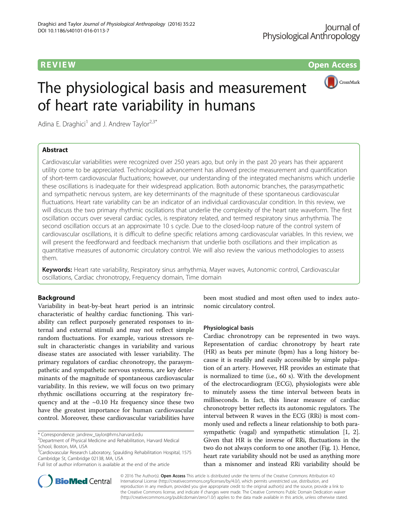**REVIEW CONSTRUCTION CONSTRUCTION CONSTRUCTS** 



# The physiological basis and measurement of heart rate variability in humans

Adina E. Draghici<sup>1</sup> and J. Andrew Taylor<sup>2,3\*</sup>

# Abstract

Cardiovascular variabilities were recognized over 250 years ago, but only in the past 20 years has their apparent utility come to be appreciated. Technological advancement has allowed precise measurement and quantification of short-term cardiovascular fluctuations; however, our understanding of the integrated mechanisms which underlie these oscillations is inadequate for their widespread application. Both autonomic branches, the parasympathetic and sympathetic nervous system, are key determinants of the magnitude of these spontaneous cardiovascular fluctuations. Heart rate variability can be an indicator of an individual cardiovascular condition. In this review, we will discuss the two primary rhythmic oscillations that underlie the complexity of the heart rate waveform. The first oscillation occurs over several cardiac cycles, is respiratory related, and termed respiratory sinus arrhythmia. The second oscillation occurs at an approximate 10 s cycle. Due to the closed-loop nature of the control system of cardiovascular oscillations, it is difficult to define specific relations among cardiovascular variables. In this review, we will present the feedforward and feedback mechanism that underlie both oscillations and their implication as quantitative measures of autonomic circulatory control. We will also review the various methodologies to assess them.

Keywords: Heart rate variability, Respiratory sinus arrhythmia, Mayer waves, Autonomic control, Cardiovascular oscillations, Cardiac chronotropy, Frequency domain, Time domain

# Background

Variability in beat-by-beat heart period is an intrinsic characteristic of healthy cardiac functioning. This variability can reflect purposely generated responses to internal and external stimuli and may not reflect simple random fluctuations. For example, various stressors result in characteristic changes in variability and various disease states are associated with lesser variability. The primary regulators of cardiac chronotropy, the parasympathetic and sympathetic nervous systems, are key determinants of the magnitude of spontaneous cardiovascular variability. In this review, we will focus on two primary rhythmic oscillations occurring at the respiratory frequency and at the  $~0.10$  Hz frequency since these two have the greatest importance for human cardiovascular control. Moreover, these cardiovascular variabilities have

\* Correspondence: [jandrew\\_taylor@hms.harvard.edu](mailto:jandrew_taylor@hms.harvard.edu) <sup>2</sup>

<sup>3</sup>Cardiovascular Research Laboratory, Spaulding Rehabilitation Hospital, 1575 Cambridge St, Cambridge 02138, MA, USA

been most studied and most often used to index autonomic circulatory control.

#### Physiological basis

Cardiac chronotropy can be represented in two ways. Representation of cardiac chronotropy by heart rate (HR) as beats per minute (bpm) has a long history because it is readily and easily accessible by simple palpation of an artery. However, HR provides an estimate that is normalized to time (i.e., 60 s). With the development of the electrocardiogram (ECG), physiologists were able to minutely assess the time interval between beats in milliseconds. In fact, this linear measure of cardiac chronotropy better reflects its autonomic regulators. The interval between R waves in the ECG (RRi) is most commonly used and reflects a linear relationship to both parasympathetic (vagal) and sympathetic stimulation [\[1](#page-6-0), [2](#page-6-0)]. Given that HR is the inverse of RRi, fluctuations in the two do not always conform to one another (Fig. [1\)](#page-1-0). Hence, heart rate variability should not be used as anything more than a misnomer and instead RRi variability should be



© 2016 The Author(s). Open Access This article is distributed under the terms of the Creative Commons Attribution 4.0 International License [\(http://creativecommons.org/licenses/by/4.0/](http://creativecommons.org/licenses/by/4.0/)), which permits unrestricted use, distribution, and reproduction in any medium, provided you give appropriate credit to the original author(s) and the source, provide a link to the Creative Commons license, and indicate if changes were made. The Creative Commons Public Domain Dedication waiver [\(http://creativecommons.org/publicdomain/zero/1.0/](http://creativecommons.org/publicdomain/zero/1.0/)) applies to the data made available in this article, unless otherwise stated.

Department of Physical Medicine and Rehabilitation, Harvard Medical School, Boston, MA, USA

Full list of author information is available at the end of the article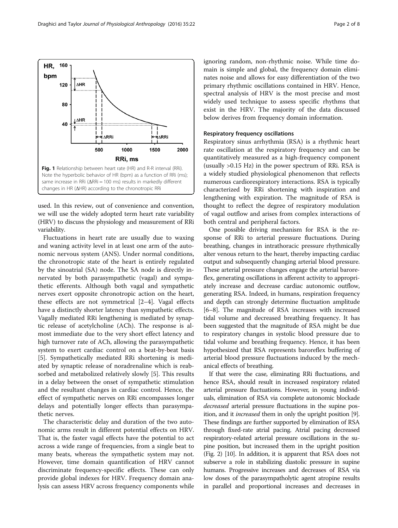used. In this review, out of convenience and convention, we will use the widely adopted term heart rate variability (HRV) to discuss the physiology and measurement of RRi variability.

Fig. 1 Relationship between heart rate (HR) and R-R interval (RRi). Note the hyperbolic behavior of HR (bpm) as a function of RRi (ms); same increase in RRi (ΔRRi = 100 ms) results in markedly different changes in HR (ΔHR) according to the chronotropic RRi

त्रं ∆RRi

500

Fluctuations in heart rate are usually due to waxing and waning activity level in at least one arm of the autonomic nervous system (ANS). Under normal conditions, the chronotropic state of the heart is entirely regulated by the sinoatrial (SA) node. The SA node is directly innervated by both parasympathetic (vagal) and sympathetic efferents. Although both vagal and sympathetic nerves exert opposite chronotropic action on the heart, these effects are not symmetrical [\[2](#page-6-0)–[4](#page-6-0)]. Vagal effects have a distinctly shorter latency than sympathetic effects. Vagally mediated RRi lengthening is mediated by synaptic release of acetylcholine (ACh). The response is almost immediate due to the very short effect latency and high turnover rate of ACh, allowing the parasympathetic system to exert cardiac control on a beat-by-beat basis [[5\]](#page-6-0). Sympathetically mediated RRi shortening is mediated by synaptic release of noradrenaline which is reabsorbed and metabolized relatively slowly [\[5](#page-6-0)]. This results in a delay between the onset of sympathetic stimulation and the resultant changes in cardiac control. Hence, the effect of sympathetic nerves on RRi encompasses longer delays and potentially longer effects than parasympathetic nerves.

The characteristic delay and duration of the two autonomic arms result in different potential effects on HRV. That is, the faster vagal effects have the potential to act across a wide range of frequencies, from a single beat to many beats, whereas the sympathetic system may not. However, time domain quantification of HRV cannot discriminate frequency-specific effects. These can only provide global indexes for HRV. Frequency domain analysis can assess HRV across frequency components while

ignoring random, non-rhythmic noise. While time domain is simple and global, the frequency domain eliminates noise and allows for easy differentiation of the two primary rhythmic oscillations contained in HRV. Hence, spectral analysis of HRV is the most precise and most widely used technique to assess specific rhythms that exist in the HRV. The majority of the data discussed below derives from frequency domain information.

# Respiratory frequency oscillations

Respiratory sinus arrhythmia (RSA) is a rhythmic heart rate oscillation at the respiratory frequency and can be quantitatively measured as a high-frequency component (usually >0.15 Hz) in the power spectrum of RRi. RSA is a widely studied physiological phenomenon that reflects numerous cardiorespiratory interactions. RSA is typically characterized by RRi shortening with inspiration and lengthening with expiration. The magnitude of RSA is thought to reflect the degree of respiratory modulation of vagal outflow and arises from complex interactions of both central and peripheral factors.

One possible driving mechanism for RSA is the response of RRi to arterial pressure fluctuations. During breathing, changes in intrathoracic pressure rhythmically alter venous return to the heart, thereby impacting cardiac output and subsequently changing arterial blood pressure. These arterial pressure changes engage the arterial baroreflex, generating oscillations in afferent activity to appropriately increase and decrease cardiac autonomic outflow, generating RSA. Indeed, in humans, respiration frequency and depth can strongly determine fluctuation amplitude [[6](#page-6-0)–[8](#page-6-0)]. The magnitude of RSA increases with increased tidal volume and decreased breathing frequency. It has been suggested that the magnitude of RSA might be due to respiratory changes in systolic blood pressure due to tidal volume and breathing frequency. Hence, it has been hypothesized that RSA represents baroreflex buffering of arterial blood pressure fluctuations induced by the mechanical effects of breathing.

If that were the case, eliminating RRi fluctuations, and hence RSA, should result in increased respiratory related arterial pressure fluctuations. However, in young individuals, elimination of RSA via complete autonomic blockade decreased arterial pressure fluctuations in the supine position, and it *increased* them in only the upright position [[9](#page-6-0)]. These findings are further supported by elimination of RSA through fixed-rate atrial pacing. Atrial pacing decreased respiratory-related arterial pressure oscillations in the supine position, but increased them in the upright position (Fig. [2\)](#page-2-0) [\[10\]](#page-6-0). In addition, it is apparent that RSA does not subserve a role in stabilizing diastolic pressure in supine humans. Progressive increases and decreases of RSA via low doses of the parasympatholytic agent atropine results in parallel and proportional increases and decreases in

<span id="page-1-0"></span>

1000

RRi, ms

→<br>→i∆RRi

1500

2000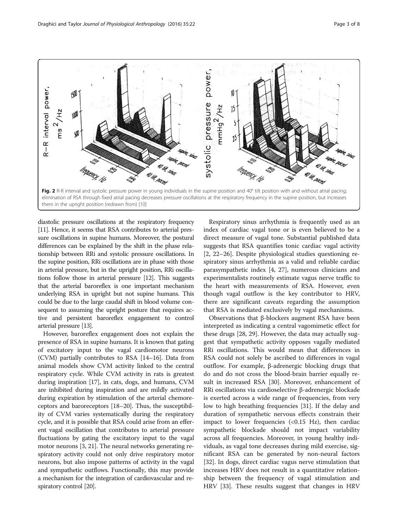<span id="page-2-0"></span>

diastolic pressure oscillations at the respiratory frequency [[11](#page-6-0)]. Hence, it seems that RSA contributes to arterial pressure oscillations in supine humans. Moreover, the postural differences can be explained by the shift in the phase relationship between RRi and systolic pressure oscillations. In the supine position, RRi oscillations are in phase with those in arterial pressure, but in the upright position, RRi oscillations follow those in arterial pressure [[12](#page-6-0)]. This suggests that the arterial baroreflex is one important mechanism underlying RSA in upright but not supine humans. This could be due to the large caudal shift in blood volume consequent to assuming the upright posture that requires active and persistent baroreflex engagement to control arterial pressure [\[13](#page-6-0)].

However, baroreflex engagement does not explain the presence of RSA in supine humans. It is known that gating of excitatory input to the vagal cardiomotor neurons (CVM) partially contributes to RSA [\[14](#page-6-0)–[16](#page-6-0)]. Data from animal models show CVM activity linked to the central respiratory cycle. While CVM activity in rats is greatest during inspiration [\[17\]](#page-6-0), in cats, dogs, and humans, CVM are inhibited during inspiration and are mildly activated during expiration by stimulation of the arterial chemoreceptors and baroreceptors [\[18](#page-6-0)–[20](#page-6-0)]. Thus, the susceptibility of CVM varies systematically during the respiratory cycle, and it is possible that RSA could arise from an efferent vagal oscillation that contributes to arterial pressure fluctuations by gating the excitatory input to the vagal motor neurons [\[3](#page-6-0), [21](#page-6-0)]. The neural networks generating respiratory activity could not only drive respiratory motor neurons, but also impose patterns of activity in the vagal and sympathetic outflows. Functionally, this may provide a mechanism for the integration of cardiovascular and respiratory control [\[20\]](#page-6-0).

Respiratory sinus arrhythmia is frequently used as an index of cardiac vagal tone or is even believed to be a direct measure of vagal tone. Substantial published data suggests that RSA quantifies tonic cardiac vagal activity [[2, 22](#page-6-0)–[26](#page-6-0)]. Despite physiological studies questioning respiratory sinus arrhythmia as a valid and reliable cardiac parasympathetic index [\[4](#page-6-0), [27](#page-6-0)], numerous clinicians and experimentalists routinely estimate vagus nerve traffic to the heart with measurements of RSA. However, even though vagal outflow is the key contributor to HRV, there are significant caveats regarding the assumption that RSA is mediated exclusively by vagal mechanisms.

Observations that β-blockers augment RSA have been interpreted as indicating a central vagomimetic effect for these drugs [[28](#page-6-0), [29](#page-7-0)]. However, the data may actually suggest that sympathetic activity opposes vagally mediated RRi oscillations. This would mean that differences in RSA could not solely be ascribed to differences in vagal outflow. For example, β-adrenergic blocking drugs that do and do not cross the blood-brain barrier equally result in increased RSA [\[30](#page-7-0)]. Moreover, enhancement of RRi oscillations via cardioselective β-adrenergic blockade is exerted across a wide range of frequencies, from very low to high breathing frequencies [\[31\]](#page-7-0). If the delay and duration of sympathetic nervous effects constrain their impact to lower frequencies  $\langle$ <0.15 Hz), then cardiac sympathetic blockade should not impact variability across all frequencies. Moreover, in young healthy individuals, as vagal tone decreases during mild exercise, significant RSA can be generated by non-neural factors [[32\]](#page-7-0). In dogs, direct cardiac vagus nerve stimulation that increases HRV does not result in a quantitative relationship between the frequency of vagal stimulation and HRV [[33\]](#page-7-0). These results suggest that changes in HRV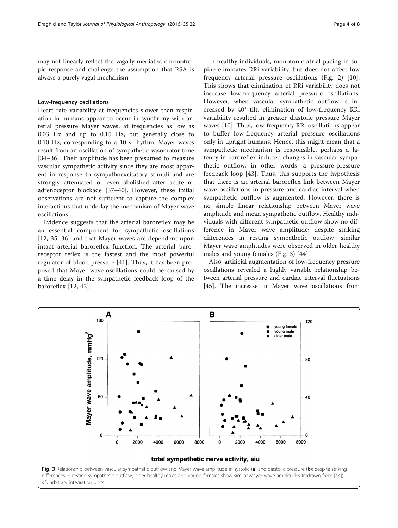may not linearly reflect the vagally mediated chronotropic response and challenge the assumption that RSA is always a purely vagal mechanism.

#### Low-frequency oscillations

Heart rate variability at frequencies slower than respiration in humans appear to occur in synchrony with arterial pressure Mayer waves, at frequencies as low as 0.03 Hz and up to 0.15 Hz, but generally close to 0.10 Hz, corresponding to a 10 s rhythm. Mayer waves result from an oscillation of sympathetic vasomotor tone [[34](#page-7-0)–[36](#page-7-0)]. Their amplitude has been presumed to measure vascular sympathetic activity since they are most apparent in response to sympathoexcitatory stimuli and are strongly attenuated or even abolished after acute αadrenoceptor blockade [\[37](#page-7-0)–[40\]](#page-7-0). However, these initial observations are not sufficient to capture the complex interactions that underlay the mechanism of Mayer wave oscillations.

Evidence suggests that the arterial baroreflex may be an essential component for sympathetic oscillations [[12,](#page-6-0) [35, 36\]](#page-7-0) and that Mayer waves are dependent upon intact arterial baroreflex function. The arterial baroreceptor reflex is the fastest and the most powerful regulator of blood pressure [[41\]](#page-7-0). Thus, it has been proposed that Mayer wave oscillations could be caused by a time delay in the sympathetic feedback loop of the baroreflex [[12,](#page-6-0) [42](#page-7-0)].

In healthy individuals, monotonic atrial pacing in supine eliminates RRi variability, but does not affect low frequency arterial pressure oscillations (Fig. [2\)](#page-2-0) [\[10](#page-6-0)]. This shows that elimination of RRi variability does not increase low-frequency arterial pressure oscillations. However, when vascular sympathetic outflow is increased by 40° tilt, elimination of low-frequency RRi variability resulted in greater diastolic pressure Mayer waves [\[10](#page-6-0)]. Thus, low-frequency RRi oscillations appear to buffer low-frequency arterial pressure oscillations only in upright humans. Hence, this might mean that a sympathetic mechanism is responsible, perhaps a latency in baroreflex-induced changes in vascular sympathetic outflow, in other words, a pressure-pressure feedback loop [[43\]](#page-7-0). Thus, this supports the hypothesis that there is an arterial baroreflex link between Mayer wave oscillations in pressure and cardiac interval when sympathetic outflow is augmented. However, there is no simple linear relationship between Mayer wave amplitude and mean sympathetic outflow. Healthy individuals with different sympathetic outflow show no difference in Mayer wave amplitude; despite striking differences in resting sympathetic outflow, similar Mayer wave amplitudes were observed in older healthy males and young females (Fig. 3) [[44](#page-7-0)].

Also, artificial augmentation of low-frequency pressure oscillations revealed a highly variable relationship between arterial pressure and cardiac interval fluctuations [[45\]](#page-7-0). The increase in Mayer wave oscillations from

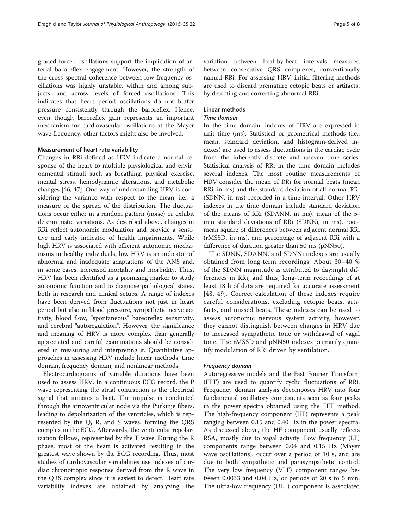graded forced oscillations support the implication of arterial baroreflex engagement. However, the strength of the cross-spectral coherence between low-frequency oscillations was highly unstable, within and among subjects, and across levels of forced oscillations. This indicates that heart period oscillations do not buffer pressure consistently through the baroreflex. Hence, even though baroreflex gain represents an important mechanism for cardiovascular oscillations at the Mayer wave frequency, other factors might also be involved.

#### Measurement of heart rate variability

Changes in RRi defined as HRV indicate a normal response of the heart to multiple physiological and environmental stimuli such as breathing, physical exercise, mental stress, hemodynamic alterations, and metabolic changes [\[46, 47\]](#page-7-0). One way of understanding HRV is considering the variance with respect to the mean, i.e., a measure of the spread of the distribution. The fluctuations occur either in a random pattern (noise) or exhibit deterministic variations. As described above, changes in RRi reflect autonomic modulation and provide a sensitive and early indicator of health impairments. While high HRV is associated with efficient autonomic mechanisms in healthy individuals, low HRV is an indicator of abnormal and inadequate adaptations of the ANS and, in some cases, increased mortality and morbidity. Thus, HRV has been identified as a promising marker to study autonomic function and to diagnose pathological states, both in research and clinical setups. A range of indexes have been derived from fluctuations not just in heart period but also in blood pressure, sympathetic nerve activity, blood flow, "spontaneous" bareoreflex sensitivity, and cerebral "autoregulation". However, the significance and meaning of HRV is more complex than generally appreciated and careful examinations should be considered in measuring and interpreting it. Quantitative approaches in assessing HRV include linear methods, time domain, frequency domain, and nonlinear methods.

Electrocardiograms of variable durations have been used to assess HRV. In a continuous ECG record, the P wave representing the atrial contraction is the electrical signal that initiates a beat. The impulse is conducted through the atrioventricular node via the Purkinje fibers, leading to depolarization of the ventricles, which is represented by the Q, R, and S waves, forming the QRS complex in the ECG. Afterwards, the ventricular repolarization follows, represented by the T wave. During the R phase, most of the heart is activated resulting in the greatest wave shown by the ECG recording. Thus, most studies of cardiovascular variabilities use indexes of cardiac chronotropic response derived from the R wave in the QRS complex since it is easiest to detect. Heart rate variability indexes are obtained by analyzing the variation between beat-by-beat intervals measured between consecutive QRS complexes, conventionally named RRi. For assessing HRV, initial filtering methods are used to discard premature ectopic beats or artifacts, by detecting and correcting abnormal RRi.

## Linear methods

### Time domain

In the time domain, indexes of HRV are expressed in unit time (ms). Statistical or geometrical methods (i.e., mean, standard deviation, and histogram-derived indexes) are used to assess fluctuations in the cardiac cycle from the inherently discrete and uneven time series. Statistical analysis of RRi in the time domain includes several indexes. The most routine measurements of HRV consider the mean of RRi for normal beats (mean RRi, in ms) and the standard deviation of all normal RRi (SDNN, in ms) recorded in a time interval. Other HRV indexes in the time domain include standard deviation of the means of RRi (SDANN, in ms), mean of the 5 min standard deviations of RRi (SDNNi, in ms), rootmean square of differences between adjacent normal RRi (rMSSD, in ms), and percentage of adjacent RRi with a difference of duration greater than 50 ms (pNN50).

The SDNN, SDANN, and SDNNi indexes are usually obtained from long-term recordings. About 30–40 % of the SDNN magnitude is attributed to day:night differences in RRi, and thus, long-term recordings of at least 18 h of data are required for accurate assessment [[48](#page-7-0), [49](#page-7-0)]. Correct calculation of these indexes require careful considerations, excluding ectopic beats, artifacts, and missed beats. These indexes can be used to assess autonomic nervous system activity; however, they cannot distinguish between changes in HRV due to increased sympathetic tone or withdrawal of vagal tone. The rMSSD and pNN50 indexes primarily quantify modulation of RRi driven by ventilation.

#### Frequency domain

Autoregressive models and the Fast Fourier Transform (FFT) are used to quantify cyclic fluctuations of RRi. Frequency domain analysis decomposes HRV into four fundamental oscillatory components seen as four peaks in the power spectra obtained using the FFT method. The high-frequency component (HF) represents a peak ranging between 0.15 and 0.40 Hz in the power spectra. As discussed above, the HF component usually reflects RSA, mostly due to vagal activity. Low frequency (LF) components range between 0.04 and 0.15 Hz (Mayer wave oscillations), occur over a period of 10 s, and are due to both sympathetic and parasympathetic control. The very low frequency (VLF) component ranges between 0.0033 and 0.04 Hz, or periods of 20 s to 5 min. The ultra-low frequency (ULF) component is associated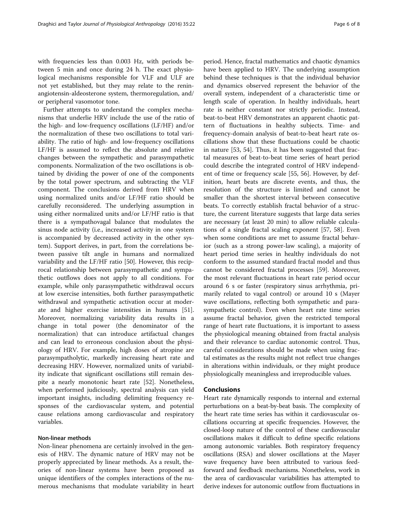with frequencies less than 0.003 Hz, with periods between 5 min and once during 24 h. The exact physiological mechanisms responsible for VLF and ULF are not yet established, but they may relate to the reninangiotensin-aldeosterone system, thermoregulation, and/ or peripheral vasomotor tone.

Further attempts to understand the complex mechanisms that underlie HRV include the use of the ratio of the high- and low-frequency oscillations (LF/HF) and/or the normalization of these two oscillations to total variability. The ratio of high- and low-frequency oscillations LF/HF is assumed to reflect the absolute and relative changes between the sympathetic and parasympathetic components. Normalization of the two oscillations is obtained by dividing the power of one of the components by the total power spectrum, and subtracting the VLF component. The conclusions derived from HRV when using normalized units and/or LF/HF ratio should be carefully reconsidered. The underlying assumption in using either normalized units and/or LF/HF ratio is that there is a sympathovagal balance that modulates the sinus node activity (i.e., increased activity in one system is accompanied by decreased activity in the other system). Support derives, in part, from the correlations between passive tilt angle in humans and normalized variability and the LF/HF ratio [\[50\]](#page-7-0). However, this reciprocal relationship between parasympathetic and sympathetic outflows does not apply to all conditions. For example, while only parasympathetic withdrawal occurs at low exercise intensities, both further parasympathetic withdrawal and sympathetic activation occur at moderate and higher exercise intensities in humans [\[51](#page-7-0)]. Moreover, normalizing variability data results in a change in total power (the denominator of the normalization) that can introduce artifactual changes and can lead to erroneous conclusion about the physiology of HRV. For example, high doses of atropine are parasympatholytic, markedly increasing heart rate and decreasing HRV. However, normalized units of variability indicate that significant oscillations still remain despite a nearly monotonic heart rate [[52\]](#page-7-0). Nonetheless, when performed judiciously, spectral analysis can yield important insights, including delimiting frequency responses of the cardiovascular system, and potential cause relations among cardiovascular and respiratory variables.

#### Non-linear methods

Non-linear phenomena are certainly involved in the genesis of HRV. The dynamic nature of HRV may not be properly appreciated by linear methods. As a result, theories of non-linear systems have been proposed as unique identifiers of the complex interactions of the numerous mechanisms that modulate variability in heart

period. Hence, fractal mathematics and chaotic dynamics have been applied to HRV. The underlying assumption behind these techniques is that the individual behavior and dynamics observed represent the behavior of the overall system, independent of a characteristic time or length scale of operation. In healthy individuals, heart rate is neither constant nor strictly periodic. Instead, beat-to-beat HRV demonstrates an apparent chaotic pattern of fluctuations in healthy subjects. Time- and frequency-domain analysis of beat-to-beat heart rate oscillations show that these fluctuations could be chaotic in nature [[53, 54\]](#page-7-0). Thus, it has been suggested that fractal measures of beat-to-beat time series of heart period could describe the integrated control of HRV independent of time or frequency scale [[55, 56\]](#page-7-0). However, by definition, heart beats are discrete events, and thus, the resolution of the structure is limited and cannot be smaller than the shortest interval between consecutive beats. To correctly establish fractal behavior of a structure, the current literature suggests that large data series are necessary (at least 20 min) to allow reliable calculations of a single fractal scaling exponent [[57](#page-7-0), [58\]](#page-7-0). Even when some conditions are met to assume fractal behavior (such as a strong power-law scaling), a majority of heart period time series in healthy individuals do not conform to the assumed standard fractal model and thus cannot be considered fractal processes [\[59](#page-7-0)]. Moreover, the most relevant fluctuations in heart rate period occur around 6 s or faster (respiratory sinus arrhythmia, primarily related to vagal control) or around 10 s (Mayer wave oscillations, reflecting both sympathetic and parasympathetic control). Even when heart rate time series assume fractal behavior, given the restricted temporal range of heart rate fluctuations, it is important to assess the physiological meaning obtained from fractal analysis and their relevance to cardiac autonomic control. Thus, careful considerations should be made when using fractal estimates as the results might not reflect true changes in alterations within individuals, or they might produce physiologically meaningless and irreproducible values.

#### Conclusions

Heart rate dynamically responds to internal and external perturbations on a beat-by-beat basis. The complexity of the heart rate time series has within it cardiovascular oscillations occurring at specific frequencies. However, the closed-loop nature of the control of these cardiovascular oscillations makes it difficult to define specific relations among autonomic variables. Both respiratory frequency oscillations (RSA) and slower oscillations at the Mayer wave frequency have been attributed to various feedforward and feedback mechanisms. Nonetheless, work in the area of cardiovascular variabilities has attempted to derive indexes for autonomic outflow from fluctuations in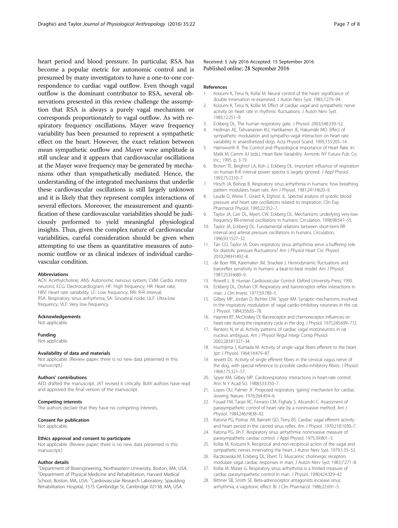<span id="page-6-0"></span>heart period and blood pressure. In particular, RSA has become a popular metric for autonomic control and is presumed by many investigators to have a one-to-one correspondence to cardiac vagal outflow. Even though vagal outflow is the dominant contributor to RSA, several observations presented in this review challenge the assumption that RSA is always a purely vagal mechanism or corresponds proportionately to vagal outflow. As with respiratory frequency oscillations, Mayer wave frequency variability has been presumed to represent a sympathetic effect on the heart. However, the exact relation between mean sympathetic outflow and Mayer wave amplitude is still unclear and it appears that cardiovascular oscillations at the Mayer wave frequency may be generated by mechanisms other than sympathetically mediated. Hence, the understanding of the integrated mechanisms that underlie these cardiovascular oscillations is still largely unknown and it is likely that they represent complex interactions of several effectors. Moreover, the measurement and quantification of these cardiovascular variabilities should be judiciously performed to yield meaningful physiological insights. Thus, given the complex nature of cardiovascular variabilities, careful consideration should be given when attempting to use them as quantitative measures of autonomic outflow or as clinical indexes of individual cardiovascular condition.

#### Abbreviations

ACh: Acethylcholine; ANS: Autonomic nervous system; CVM: Cardio motor neurons; ECG: Electrocardiogram; HF: High frequency; HR: Heart rate; HRV: Heart rate variability; LF: Low frequency; RRi: R-R interval; RSA: Respiratory sinus arrhythmia; SA: Sinoatrial node; ULF: Ultra-low frequency; VLF: Very low frequency

#### Acknowledgements

Not applicable.

#### Funding

Not applicable.

#### Availability of data and materials

Not applicable. (Review paper; there is no new data presented in this manuscript.)

#### Authors' contributions

AED drafted the manuscript. JAT revised it critically. Both authors have read and approved the final version of the manuscript.

#### Competing interests

The authors declare that they have no competing interests.

#### Consent for publication

Not applicable.

#### Ethics approval and consent to participate

Not applicable. (Review paper; there is no new data presented in this manuscript.)

#### Author details

<sup>1</sup>Department of Bioengineering, Northeastern University, Boston, MA, USA. 2 Department of Physical Medicine and Rehabilitation, Harvard Medical School, Boston, MA, USA. <sup>3</sup>Cardiovascular Research Laboratory, Spaulding Rehabilitation Hospital, 1575 Cambridge St, Cambridge 02138, MA, USA.

Received: 5 July 2016 Accepted: 15 September 2016 Published online: 28 September 2016

#### References

- 1. Koizumi K, Terui N, Kollai M. Neural control of the heart: significance of double innervation re-examined. J Auton Nerv Syst. 1983;7:279–94.
- 2. Koizumi K, Terui N, Kollai M. Effect of cardiac vagal and sympathetic nerve activity on heart rate in rhythmic fluctuations. J Auton Nerv Syst. 1985;12:251–9.
- 3. Eckberg DL. The human respiratory gate. J Physiol. 2003;548:339–52.
- 4. Hedman AE, Tahvanainen KU, Hartikainen JE, Hakumäki MO. Effect of sympathetic modulation and sympatho-vagal interaction on heart rate variability in anaesthetized dogs. Acta Physiol Scand. 1995;155:205–14.
- 5. Hainsworth R. The Control and Physiological Importance of Heart Rate. In: Malik M, Camm AJ (eds.). Heart Rate Variability. Armonk: NY Futura Pub. Co. Inc.; 1995. p. 3-19.
- 6. Brown TE, Beightol LA, Koh J, Eckberg DL. Important influence of respiration on human R-R interval power spectra is largely ignored. J Appl Physiol. 1993;75:2310–7.
- 7. Hirsch JA, Bishop B. Respiratory sinus arrhythmia in humans: how breathing pattern modulates heart rate. Am J Physiol. 1981;241:H620–9.
- 8. Laude D, Weise F, Girard A, Elghozi JL. Spectral analysis of systolic blood pressure and heart rate oscillations related to respiration. Clin Exp Pharmacol Physiol. 1995;22:352–7.
- 9. Taylor JA, Carr DL, Myers CW, Eckberg DL. Mechanisms underlying very-lowfrequency RR-interval oscillations in humans. Circulation. 1998;98:547–55.
- 10. Taylor JA, Eckberg DL. Fundamental relations between short-term RR interval and arterial pressure oscillations in humans. Circulation. 1996;93:1527–32.
- 11. Tan CO, Taylor JA. Does respiratory sinus arrhythmia serve a buffering role for diastolic pressure fluctuations? Am J Physiol Heart Circ Physiol. 2010;298:H1492–8.
- 12. de Boer RW, Karemaker JM, Strackee J. Hemodynamic fluctuations and baroreflex sensitivity in humans: a beat-to-beat model. Am J Physiol. 1987;253:H680–9.
- 13. Rowell L. B. Human Cardiovascular Control. Oxford University Press; 1993.
- 14. Eckberg DL, Orshan CR. Respiratory and baroreceptor reflex interactions in man. J Clin Invest. 1977;59:780–5.
- 15. Gilbey MP, Jordan D, Richter DW, Spyer KM. Synaptic mechanisms involved in the inspiratory modulation of vagal cardio-inhibitory neurones in the cat. J Physiol. 1984;356:65–78.
- 16. Haymet BT, McCloskey DI. Baroreceptor and chemoreceptor influences on heart rate during the respiratory cycle in the dog. J Physiol. 1975;245:699–712.
- 17. Rentero N, et al. Activity patterns of cardiac vagal motoneurons in rat nucleus ambiguus. Am J Physiol Regul Integr Comp Physiol. 2002;283:R1327–34.
- 18. Iriuchijima J, Kumada M. Activity of single vagal fibers efferent to the heart. Jpn J Physiol. 1964;14:479–87.
- 19. Jewett DL. Activity of single efferent fibres in the cervical vagus nerve of the dog, with special reference to possible cardio-inhibitory fibres. J Physiol. 1964;175:321–57.
- 20. Spyer KM, Gilbey MP. Cardiorespiratory interactions in heart-rate control. Ann N Y Acad Sci. 1988;533:350–7.
- 21. Lopes OU, Palmer JF. Proposed respiratory 'gating' mechanism for cardiac slowing. Nature. 1976;264:454–6.
- 22. Fouad FM, Tarazi RC, Ferrario CM, Fighaly S, Alicandri C. Assessment of parasympathetic control of heart rate by a noninvasive method. Am J Physiol. 1984;246:H838–42.
- 23. Katona PG, Poitras JW, Barnett GO, Terry BS. Cardiac vagal efferent activity and heart period in the carotid sinus reflex. Am J Physiol. 1970;218:1030–7.
- 24. Katona PG, Jih F. Respiratory sinus arrhythmia: noninvasive measure of parasympathetic cardiac control. J Appl Physiol. 1975;39:801–5.
- 25. Kollai M, Koizumi K. Reciprocal and non-reciprocal action of the vagal and sympathetic nerves innervating the heart. J Auton Nerv Syst. 1979;1:33–52.
- 26. Raczkowska M, Eckberg DL, Ebert TJ. Muscarinic cholinergic receptors modulate vagal cardiac responses in man. J Auton Nerv Syst. 1983;7:271–8.
- 27. Kollai M, Mizsei G. Respiratory sinus arrhythmia is a limited measure of cardiac parasympathetic control in man. J Physiol. 1990;424:329–42.
- 28. Bittiner SB, Smith SE. Beta-adrenoceptor antagonists increase sinus arrhythmia, a vagotonic effect. Br J Clin Pharmacol. 1986;22:691–5.